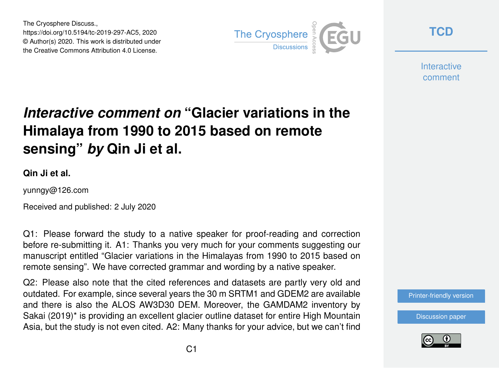The Cryosphere Discuss., https://doi.org/10.5194/tc-2019-297-AC5, 2020 © Author(s) 2020. This work is distributed under the Creative Commons Attribution 4.0 License.



**[TCD](https://tc.copernicus.org/preprints/)**

**Interactive** comment

## *Interactive comment on* **"Glacier variations in the Himalaya from 1990 to 2015 based on remote sensing"** *by* **Qin Ji et al.**

**Qin Ji et al.**

yunngy@126.com

Received and published: 2 July 2020

Q1: Please forward the study to a native speaker for proof-reading and correction before re-submitting it. A1: Thanks you very much for your comments suggesting our manuscript entitled "Glacier variations in the Himalayas from 1990 to 2015 based on remote sensing". We have corrected grammar and wording by a native speaker.

Q2: Please also note that the cited references and datasets are partly very old and outdated. For example, since several years the 30 m SRTM1 and GDEM2 are available and there is also the ALOS AW3D30 DEM. Moreover, the GAMDAM2 inventory by Sakai (2019)\* is providing an excellent glacier outline dataset for entire High Mountain Asia, but the study is not even cited. A2: Many thanks for your advice, but we can't find

[Printer-friendly version](https://tc.copernicus.org/preprints/tc-2019-297/tc-2019-297-AC5-print.pdf)

[Discussion paper](https://tc.copernicus.org/preprints/tc-2019-297)